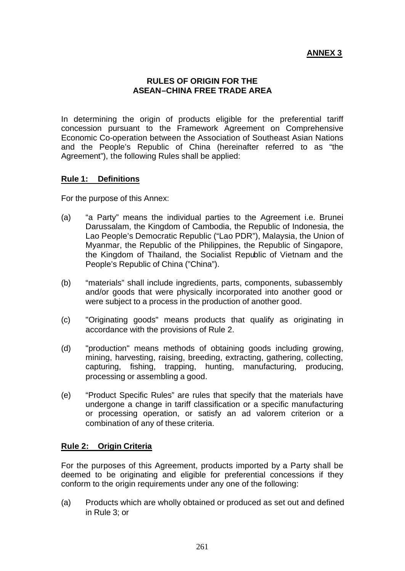## **ANNEX 3**

### **RULES OF ORIGIN FOR THE ASEAN–CHINA FREE TRADE AREA**

In determining the origin of products eligible for the preferential tariff concession pursuant to the Framework Agreement on Comprehensive Economic Co-operation between the Association of Southeast Asian Nations and the People's Republic of China (hereinafter referred to as "the Agreement"), the following Rules shall be applied:

#### **Rule 1: Definitions**

For the purpose of this Annex:

- (a) "a Party" means the individual parties to the Agreement i.e. Brunei Darussalam, the Kingdom of Cambodia, the Republic of Indonesia, the Lao People's Democratic Republic ("Lao PDR"), Malaysia, the Union of Myanmar, the Republic of the Philippines, the Republic of Singapore, the Kingdom of Thailand, the Socialist Republic of Vietnam and the People's Republic of China ("China").
- (b) "materials" shall include ingredients, parts, components, subassembly and/or goods that were physically incorporated into another good or were subject to a process in the production of another good.
- (c) "Originating goods" means products that qualify as originating in accordance with the provisions of Rule 2.
- (d) "production" means methods of obtaining goods including growing, mining, harvesting, raising, breeding, extracting, gathering, collecting, capturing, fishing, trapping, hunting, manufacturing, producing, processing or assembling a good.
- (e) "Product Specific Rules" are rules that specify that the materials have undergone a change in tariff classification or a specific manufacturing or processing operation, or satisfy an ad valorem criterion or a combination of any of these criteria.

#### **Rule 2: Origin Criteria**

For the purposes of this Agreement, products imported by a Party shall be deemed to be originating and eligible for preferential concessions if they conform to the origin requirements under any one of the following:

(a) Products which are wholly obtained or produced as set out and defined in Rule 3; or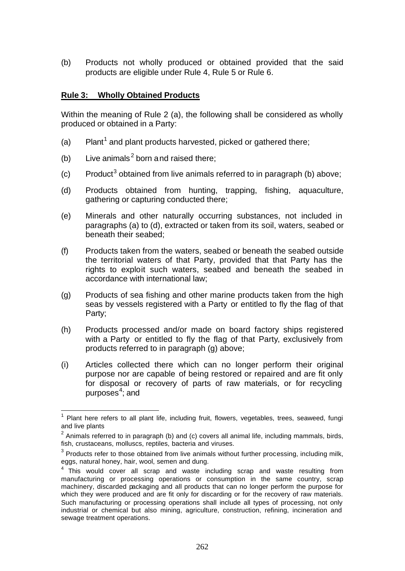(b) Products not wholly produced or obtained provided that the said products are eligible under Rule 4, Rule 5 or Rule 6.

#### **Rule 3: Wholly Obtained Products**

Within the meaning of Rule 2 (a), the following shall be considered as wholly produced or obtained in a Party:

- (a) Plant<sup>1</sup> and plant products harvested, picked or gathered there;
- (b) Live animals<sup>2</sup> born and raised there;

 $\overline{a}$ 

- $(c)$  Product<sup>3</sup> obtained from live animals referred to in paragraph (b) above;
- (d) Products obtained from hunting, trapping, fishing, aquaculture, gathering or capturing conducted there;
- (e) Minerals and other naturally occurring substances, not included in paragraphs (a) to (d), extracted or taken from its soil, waters, seabed or beneath their seabed;
- (f) Products taken from the waters, seabed or beneath the seabed outside the territorial waters of that Party, provided that that Party has the rights to exploit such waters, seabed and beneath the seabed in accordance with international law;
- (g) Products of sea fishing and other marine products taken from the high seas by vessels registered with a Party or entitled to fly the flag of that Party;
- (h) Products processed and/or made on board factory ships registered with a Party or entitled to fly the flag of that Party, exclusively from products referred to in paragraph (g) above;
- (i) Articles collected there which can no longer perform their original purpose nor are capable of being restored or repaired and are fit only for disposal or recovery of parts of raw materials, or for recycling purposes<sup>4</sup>; and

 $1$  Plant here refers to all plant life, including fruit, flowers, vegetables, trees, seaweed, fungi and live plants

<sup>&</sup>lt;sup>2</sup> Animals referred to in paragraph (b) and (c) covers all animal life, including mammals, birds, fish, crustaceans, molluscs, reptiles, bacteria and viruses.

 $3$  Products refer to those obtained from live animals without further processing, including milk, eggs, natural honey, hair, wool, semen and dung.

 $4$  This would cover all scrap and waste including scrap and waste resulting from manufacturing or processing operations or consumption in the same country, scrap machinery, discarded packaging and all products that can no longer perform the purpose for which they were produced and are fit only for discarding or for the recovery of raw materials. Such manufacturing or processing operations shall include all types of processing, not only industrial or chemical but also mining, agriculture, construction, refining, incineration and sewage treatment operations.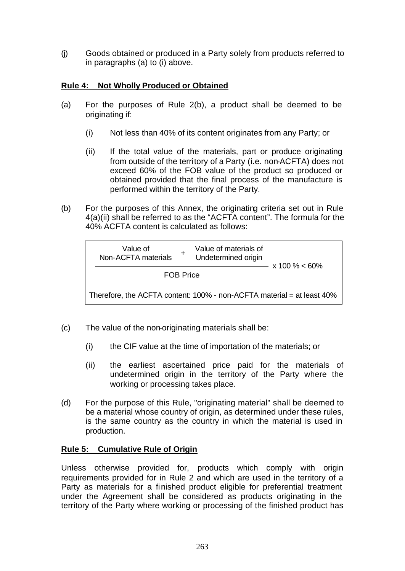(j) Goods obtained or produced in a Party solely from products referred to in paragraphs (a) to (i) above.

## **Rule 4: Not Wholly Produced or Obtained**

- (a) For the purposes of Rule 2(b), a product shall be deemed to be originating if:
	- (i) Not less than 40% of its content originates from any Party; or
	- (ii) If the total value of the materials, part or produce originating from outside of the territory of a Party (i.e. non-ACFTA) does not exceed 60% of the FOB value of the product so produced or obtained provided that the final process of the manufacture is performed within the territory of the Party.
- (b) For the purposes of this Annex, the originating criteria set out in Rule 4(a)(ii) shall be referred to as the "ACFTA content". The formula for the 40% ACFTA content is calculated as follows:



- (c) The value of the non-originating materials shall be:
	- (i) the CIF value at the time of importation of the materials; or
	- (ii) the earliest ascertained price paid for the materials of undetermined origin in the territory of the Party where the working or processing takes place.
- (d) For the purpose of this Rule, "originating material" shall be deemed to be a material whose country of origin, as determined under these rules, is the same country as the country in which the material is used in production.

## **Rule 5: Cumulative Rule of Origin**

Unless otherwise provided for, products which comply with origin requirements provided for in Rule 2 and which are used in the territory of a Party as materials for a finished product eligible for preferential treatment under the Agreement shall be considered as products originating in the territory of the Party where working or processing of the finished product has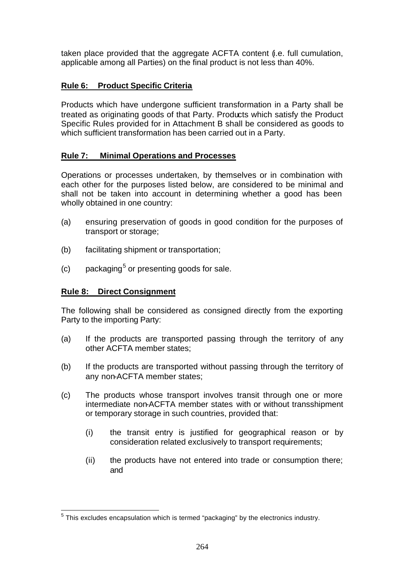taken place provided that the aggregate ACFTA content (i.e. full cumulation, applicable among all Parties) on the final product is not less than 40%.

## **Rule 6: Product Specific Criteria**

Products which have undergone sufficient transformation in a Party shall be treated as originating goods of that Party. Products which satisfy the Product Specific Rules provided for in Attachment B shall be considered as goods to which sufficient transformation has been carried out in a Party.

### **Rule 7: Minimal Operations and Processes**

Operations or processes undertaken, by themselves or in combination with each other for the purposes listed below, are considered to be minimal and shall not be taken into account in determining whether a good has been wholly obtained in one country:

- (a) ensuring preservation of goods in good condition for the purposes of transport or storage;
- (b) facilitating shipment or transportation;
- $(c)$  packaging<sup>5</sup> or presenting goods for sale.

## **Rule 8: Direct Consignment**

The following shall be considered as consigned directly from the exporting Party to the importing Party:

- (a) If the products are transported passing through the territory of any other ACFTA member states;
- (b) If the products are transported without passing through the territory of any non-ACFTA member states;
- (c) The products whose transport involves transit through one or more intermediate non-ACFTA member states with or without transshipment or temporary storage in such countries, provided that:
	- (i) the transit entry is justified for geographical reason or by consideration related exclusively to transport requirements;
	- (ii) the products have not entered into trade or consumption there; and

 5 This excludes encapsulation which is termed "packaging" by the electronics industry.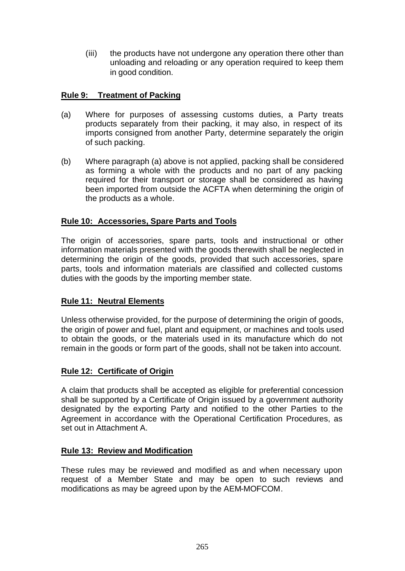(iii) the products have not undergone any operation there other than unloading and reloading or any operation required to keep them in good condition.

## **Rule 9: Treatment of Packing**

- (a) Where for purposes of assessing customs duties, a Party treats products separately from their packing, it may also, in respect of its imports consigned from another Party, determine separately the origin of such packing.
- (b) Where paragraph (a) above is not applied, packing shall be considered as forming a whole with the products and no part of any packing required for their transport or storage shall be considered as having been imported from outside the ACFTA when determining the origin of the products as a whole.

#### **Rule 10: Accessories, Spare Parts and Tools**

The origin of accessories, spare parts, tools and instructional or other information materials presented with the goods therewith shall be neglected in determining the origin of the goods, provided that such accessories, spare parts, tools and information materials are classified and collected customs duties with the goods by the importing member state.

#### **Rule 11: Neutral Elements**

Unless otherwise provided, for the purpose of determining the origin of goods, the origin of power and fuel, plant and equipment, or machines and tools used to obtain the goods, or the materials used in its manufacture which do not remain in the goods or form part of the goods, shall not be taken into account.

#### **Rule 12: Certificate of Origin**

A claim that products shall be accepted as eligible for preferential concession shall be supported by a Certificate of Origin issued by a government authority designated by the exporting Party and notified to the other Parties to the Agreement in accordance with the Operational Certification Procedures, as set out in Attachment A.

#### **Rule 13: Review and Modification**

These rules may be reviewed and modified as and when necessary upon request of a Member State and may be open to such reviews and modifications as may be agreed upon by the AEM-MOFCOM.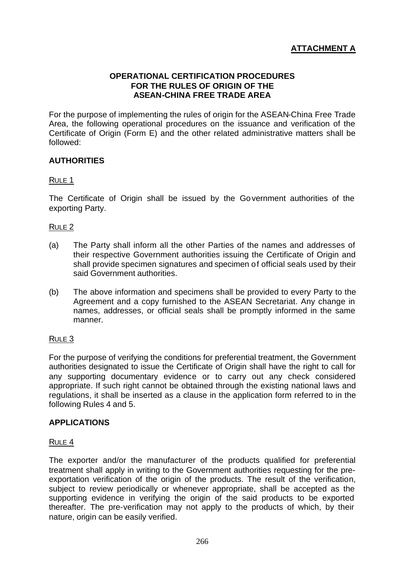## **ATTACHMENT A**

#### **OPERATIONAL CERTIFICATION PROCEDURES FOR THE RULES OF ORIGIN OF THE ASEAN-CHINA FREE TRADE AREA**

For the purpose of implementing the rules of origin for the ASEAN-China Free Trade Area, the following operational procedures on the issuance and verification of the Certificate of Origin (Form E) and the other related administrative matters shall be followed:

### **AUTHORITIES**

#### RULE 1

The Certificate of Origin shall be issued by the Government authorities of the exporting Party.

#### RULE 2

- (a) The Party shall inform all the other Parties of the names and addresses of their respective Government authorities issuing the Certificate of Origin and shall provide specimen signatures and specimen of official seals used by their said Government authorities.
- (b) The above information and specimens shall be provided to every Party to the Agreement and a copy furnished to the ASEAN Secretariat. Any change in names, addresses, or official seals shall be promptly informed in the same manner.

#### RULE 3

For the purpose of verifying the conditions for preferential treatment, the Government authorities designated to issue the Certificate of Origin shall have the right to call for any supporting documentary evidence or to carry out any check considered appropriate. If such right cannot be obtained through the existing national laws and regulations, it shall be inserted as a clause in the application form referred to in the following Rules 4 and 5.

#### **APPLICATIONS**

#### RULE 4

The exporter and/or the manufacturer of the products qualified for preferential treatment shall apply in writing to the Government authorities requesting for the preexportation verification of the origin of the products. The result of the verification, subject to review periodically or whenever appropriate, shall be accepted as the supporting evidence in verifying the origin of the said products to be exported thereafter. The pre-verification may not apply to the products of which, by their nature, origin can be easily verified.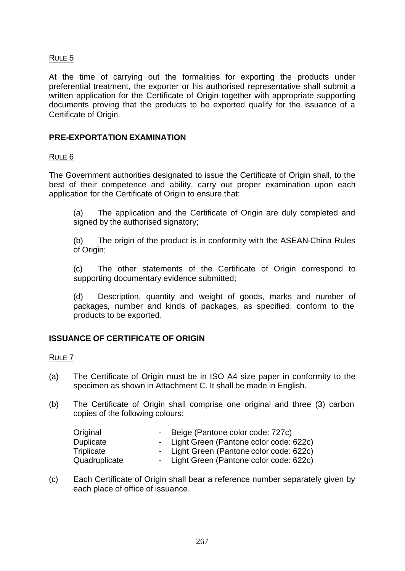### RULE 5

At the time of carrying out the formalities for exporting the products under preferential treatment, the exporter or his authorised representative shall submit a written application for the Certificate of Origin together with appropriate supporting documents proving that the products to be exported qualify for the issuance of a Certificate of Origin.

### **PRE-EXPORTATION EXAMINATION**

#### RULE 6

The Government authorities designated to issue the Certificate of Origin shall, to the best of their competence and ability, carry out proper examination upon each application for the Certificate of Origin to ensure that:

(a) The application and the Certificate of Origin are duly completed and signed by the authorised signatory;

(b) The origin of the product is in conformity with the ASEAN-China Rules of Origin;

(c) The other statements of the Certificate of Origin correspond to supporting documentary evidence submitted;

(d) Description, quantity and weight of goods, marks and number of packages, number and kinds of packages, as specified, conform to the products to be exported.

## **ISSUANCE OF CERTIFICATE OF ORIGIN**

#### RULE 7

- (a) The Certificate of Origin must be in ISO A4 size paper in conformity to the specimen as shown in Attachment C. It shall be made in English.
- (b) The Certificate of Origin shall comprise one original and three (3) carbon copies of the following colours:

| Original          | - Beige (Pantone color code: 727c)       |
|-------------------|------------------------------------------|
| Duplicate         | - Light Green (Pantone color code: 622c) |
| <b>Triplicate</b> | - Light Green (Pantone color code: 622c) |
| Quadruplicate     | - Light Green (Pantone color code: 622c) |

(c) Each Certificate of Origin shall bear a reference number separately given by each place of office of issuance.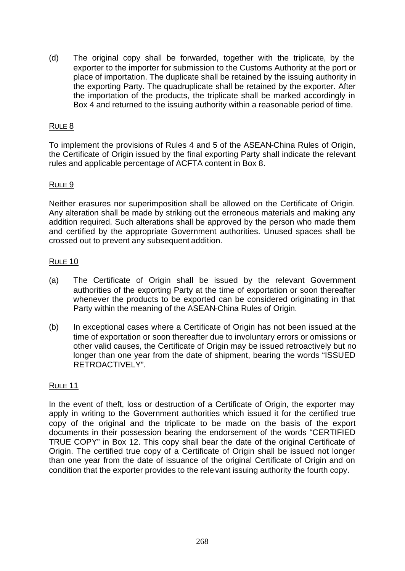(d) The original copy shall be forwarded, together with the triplicate, by the exporter to the importer for submission to the Customs Authority at the port or place of importation. The duplicate shall be retained by the issuing authority in the exporting Party. The quadruplicate shall be retained by the exporter. After the importation of the products, the triplicate shall be marked accordingly in Box 4 and returned to the issuing authority within a reasonable period of time.

## RULE 8

To implement the provisions of Rules 4 and 5 of the ASEAN-China Rules of Origin, the Certificate of Origin issued by the final exporting Party shall indicate the relevant rules and applicable percentage of ACFTA content in Box 8.

### RULE 9

Neither erasures nor superimposition shall be allowed on the Certificate of Origin. Any alteration shall be made by striking out the erroneous materials and making any addition required. Such alterations shall be approved by the person who made them and certified by the appropriate Government authorities. Unused spaces shall be crossed out to prevent any subsequent addition.

### RULE 10

- (a) The Certificate of Origin shall be issued by the relevant Government authorities of the exporting Party at the time of exportation or soon thereafter whenever the products to be exported can be considered originating in that Party within the meaning of the ASEAN-China Rules of Origin.
- (b) In exceptional cases where a Certificate of Origin has not been issued at the time of exportation or soon thereafter due to involuntary errors or omissions or other valid causes, the Certificate of Origin may be issued retroactively but no longer than one year from the date of shipment, bearing the words "ISSUED RETROACTIVELY".

#### RULE 11

In the event of theft, loss or destruction of a Certificate of Origin, the exporter may apply in writing to the Government authorities which issued it for the certified true copy of the original and the triplicate to be made on the basis of the export documents in their possession bearing the endorsement of the words "CERTIFIED TRUE COPY" in Box 12. This copy shall bear the date of the original Certificate of Origin. The certified true copy of a Certificate of Origin shall be issued not longer than one year from the date of issuance of the original Certificate of Origin and on condition that the exporter provides to the relevant issuing authority the fourth copy.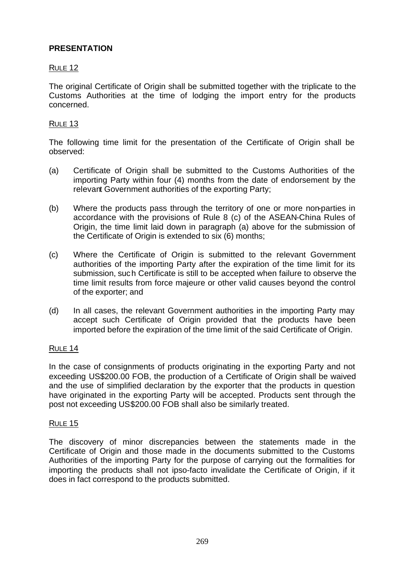## **PRESENTATION**

#### RULE 12

The original Certificate of Origin shall be submitted together with the triplicate to the Customs Authorities at the time of lodging the import entry for the products concerned.

#### RULE 13

The following time limit for the presentation of the Certificate of Origin shall be observed:

- (a) Certificate of Origin shall be submitted to the Customs Authorities of the importing Party within four (4) months from the date of endorsement by the relevant Government authorities of the exporting Party;
- (b) Where the products pass through the territory of one or more non-parties in accordance with the provisions of Rule 8 (c) of the ASEAN-China Rules of Origin, the time limit laid down in paragraph (a) above for the submission of the Certificate of Origin is extended to six (6) months;
- (c) Where the Certificate of Origin is submitted to the relevant Government authorities of the importing Party after the expiration of the time limit for its submission, such Certificate is still to be accepted when failure to observe the time limit results from force majeure or other valid causes beyond the control of the exporter; and
- (d) In all cases, the relevant Government authorities in the importing Party may accept such Certificate of Origin provided that the products have been imported before the expiration of the time limit of the said Certificate of Origin.

#### RULE 14

In the case of consignments of products originating in the exporting Party and not exceeding US\$200.00 FOB, the production of a Certificate of Origin shall be waived and the use of simplified declaration by the exporter that the products in question have originated in the exporting Party will be accepted. Products sent through the post not exceeding US\$200.00 FOB shall also be similarly treated.

#### RULE 15

The discovery of minor discrepancies between the statements made in the Certificate of Origin and those made in the documents submitted to the Customs Authorities of the importing Party for the purpose of carrying out the formalities for importing the products shall not ipso-facto invalidate the Certificate of Origin, if it does in fact correspond to the products submitted.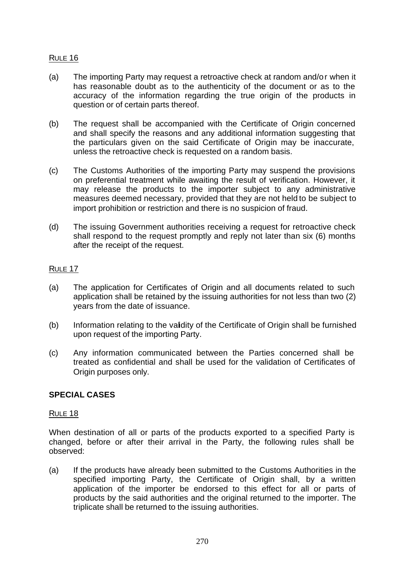### RULE 16

- (a) The importing Party may request a retroactive check at random and/or when it has reasonable doubt as to the authenticity of the document or as to the accuracy of the information regarding the true origin of the products in question or of certain parts thereof.
- (b) The request shall be accompanied with the Certificate of Origin concerned and shall specify the reasons and any additional information suggesting that the particulars given on the said Certificate of Origin may be inaccurate, unless the retroactive check is requested on a random basis.
- (c) The Customs Authorities of the importing Party may suspend the provisions on preferential treatment while awaiting the result of verification. However, it may release the products to the importer subject to any administrative measures deemed necessary, provided that they are not held to be subject to import prohibition or restriction and there is no suspicion of fraud.
- (d) The issuing Government authorities receiving a request for retroactive check shall respond to the request promptly and reply not later than six (6) months after the receipt of the request.

### RULE 17

- (a) The application for Certificates of Origin and all documents related to such application shall be retained by the issuing authorities for not less than two (2) years from the date of issuance.
- (b) Information relating to the validity of the Certificate of Origin shall be furnished upon request of the importing Party.
- (c) Any information communicated between the Parties concerned shall be treated as confidential and shall be used for the validation of Certificates of Origin purposes only.

## **SPECIAL CASES**

#### RULE 18

When destination of all or parts of the products exported to a specified Party is changed, before or after their arrival in the Party, the following rules shall be observed:

(a) If the products have already been submitted to the Customs Authorities in the specified importing Party, the Certificate of Origin shall, by a written application of the importer be endorsed to this effect for all or parts of products by the said authorities and the original returned to the importer. The triplicate shall be returned to the issuing authorities.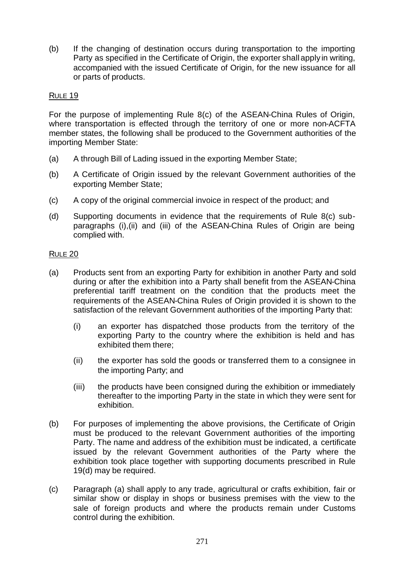(b) If the changing of destination occurs during transportation to the importing Party as specified in the Certificate of Origin, the exporter shallapply in writing, accompanied with the issued Certificate of Origin, for the new issuance for all or parts of products.

### RULE 19

For the purpose of implementing Rule 8(c) of the ASEAN-China Rules of Origin, where transportation is effected through the territory of one or more non-ACFTA member states, the following shall be produced to the Government authorities of the importing Member State:

- (a) A through Bill of Lading issued in the exporting Member State;
- (b) A Certificate of Origin issued by the relevant Government authorities of the exporting Member State;
- (c) A copy of the original commercial invoice in respect of the product; and
- (d) Supporting documents in evidence that the requirements of Rule 8(c) subparagraphs (i),(ii) and (iii) of the ASEAN-China Rules of Origin are being complied with.

#### RULE 20

- (a) Products sent from an exporting Party for exhibition in another Party and sold during or after the exhibition into a Party shall benefit from the ASEAN-China preferential tariff treatment on the condition that the products meet the requirements of the ASEAN-China Rules of Origin provided it is shown to the satisfaction of the relevant Government authorities of the importing Party that:
	- (i) an exporter has dispatched those products from the territory of the exporting Party to the country where the exhibition is held and has exhibited them there;
	- (ii) the exporter has sold the goods or transferred them to a consignee in the importing Party; and
	- (iii) the products have been consigned during the exhibition or immediately thereafter to the importing Party in the state in which they were sent for exhibition.
- (b) For purposes of implementing the above provisions, the Certificate of Origin must be produced to the relevant Government authorities of the importing Party. The name and address of the exhibition must be indicated, a certificate issued by the relevant Government authorities of the Party where the exhibition took place together with supporting documents prescribed in Rule 19(d) may be required.
- (c) Paragraph (a) shall apply to any trade, agricultural or crafts exhibition, fair or similar show or display in shops or business premises with the view to the sale of foreign products and where the products remain under Customs control during the exhibition.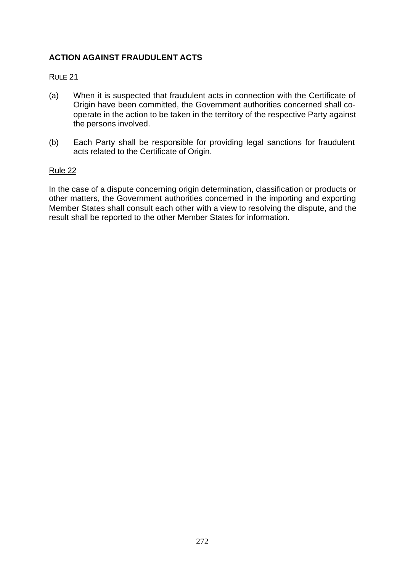## **ACTION AGAINST FRAUDULENT ACTS**

#### RULE 21

- (a) When it is suspected that fraudulent acts in connection with the Certificate of Origin have been committed, the Government authorities concerned shall cooperate in the action to be taken in the territory of the respective Party against the persons involved.
- (b) Each Party shall be responsible for providing legal sanctions for fraudulent acts related to the Certificate of Origin.

#### Rule 22

In the case of a dispute concerning origin determination, classification or products or other matters, the Government authorities concerned in the importing and exporting Member States shall consult each other with a view to resolving the dispute, and the result shall be reported to the other Member States for information.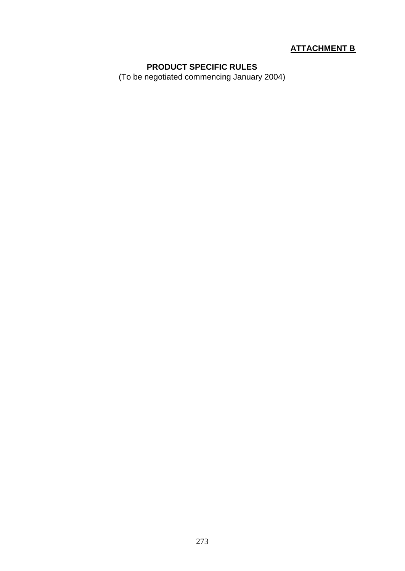## **ATTACHMENT B**

## **PRODUCT SPECIFIC RULES**

(To be negotiated commencing January 2004)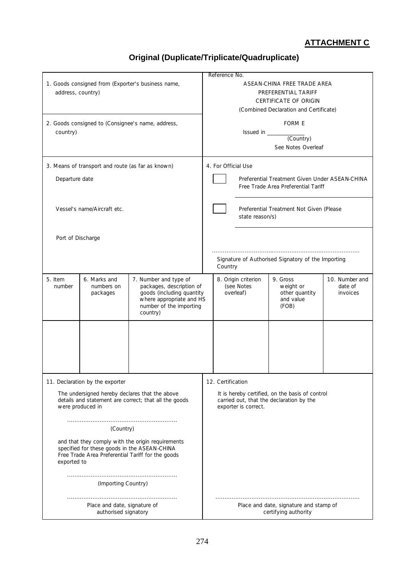# **ATTACHMENT C**

# **Original (Duplicate/Triplicate/Quadruplicate)**

|                                                                  |                                                   |                                                                |                                                    |         | Reference No.           |                             |                     |  |
|------------------------------------------------------------------|---------------------------------------------------|----------------------------------------------------------------|----------------------------------------------------|---------|-------------------------|-----------------------------|---------------------|--|
| 1. Goods consigned from (Exporter's business name,               |                                                   |                                                                | ASEAN-CHINA FREE TRADE AREA                        |         |                         |                             |                     |  |
| address, country)                                                |                                                   |                                                                | PREFERENTIAL TARIFF                                |         |                         |                             |                     |  |
|                                                                  |                                                   |                                                                | <b>CERTIFICATE OF ORIGIN</b>                       |         |                         |                             |                     |  |
|                                                                  |                                                   |                                                                | (Combined Declaration and Certificate)             |         |                         |                             |                     |  |
|                                                                  | 2. Goods consigned to (Consignee's name, address, |                                                                | <b>FORM E</b>                                      |         |                         |                             |                     |  |
| country)                                                         |                                                   |                                                                |                                                    |         |                         |                             |                     |  |
|                                                                  |                                                   |                                                                | See Notes Overleaf                                 |         |                         |                             |                     |  |
|                                                                  |                                                   |                                                                |                                                    |         |                         |                             |                     |  |
|                                                                  | 3. Means of transport and route (as far as known) |                                                                | 4. For Official Use                                |         |                         |                             |                     |  |
| Departure date                                                   |                                                   |                                                                | Preferential Treatment Given Under ASEAN-CHINA     |         |                         |                             |                     |  |
|                                                                  |                                                   |                                                                | Free Trade Area Preferential Tariff                |         |                         |                             |                     |  |
|                                                                  |                                                   |                                                                |                                                    |         |                         |                             |                     |  |
|                                                                  | Vessel's name/Aircraft etc.                       |                                                                | Preferential Treatment Not Given (Please           |         |                         |                             |                     |  |
|                                                                  |                                                   |                                                                |                                                    |         | state reason/s)         |                             |                     |  |
|                                                                  |                                                   |                                                                |                                                    |         |                         |                             |                     |  |
| Port of Discharge                                                |                                                   |                                                                |                                                    |         |                         |                             |                     |  |
|                                                                  |                                                   |                                                                |                                                    |         |                         |                             |                     |  |
|                                                                  |                                                   |                                                                | Signature of Authorised Signatory of the Importing |         |                         |                             |                     |  |
|                                                                  |                                                   |                                                                |                                                    | Country |                         |                             |                     |  |
| 5. Item                                                          | 6. Marks and                                      | 7. Number and type of                                          |                                                    |         | 8. Origin criterion     | 9. Gross                    | 10. Number and      |  |
| number                                                           | numbers on<br>packages                            | packages, description of<br>goods (including quantity          |                                                    |         | (see Notes<br>overleaf) | weight or<br>other quantity | date of<br>invoices |  |
|                                                                  |                                                   | where appropriate and HS                                       |                                                    |         |                         | and value                   |                     |  |
|                                                                  |                                                   | number of the importing                                        |                                                    |         |                         | (FOB)                       |                     |  |
|                                                                  |                                                   | country)                                                       |                                                    |         |                         |                             |                     |  |
|                                                                  |                                                   |                                                                |                                                    |         |                         |                             |                     |  |
|                                                                  |                                                   |                                                                |                                                    |         |                         |                             |                     |  |
|                                                                  |                                                   |                                                                |                                                    |         |                         |                             |                     |  |
|                                                                  |                                                   |                                                                |                                                    |         |                         |                             |                     |  |
|                                                                  |                                                   |                                                                |                                                    |         |                         |                             |                     |  |
|                                                                  | 11. Declaration by the exporter                   |                                                                | 12. Certification                                  |         |                         |                             |                     |  |
|                                                                  |                                                   | The undersigned hereby declares that the above                 | It is hereby certified, on the basis of control    |         |                         |                             |                     |  |
|                                                                  |                                                   | details and statement are correct; that all the goods          | carried out, that the declaration by the           |         |                         |                             |                     |  |
|                                                                  | were produced in                                  |                                                                |                                                    |         | exporter is correct.    |                             |                     |  |
|                                                                  |                                                   |                                                                |                                                    |         |                         |                             |                     |  |
| (Country)                                                        |                                                   |                                                                |                                                    |         |                         |                             |                     |  |
| and that they comply with the origin requirements                |                                                   |                                                                |                                                    |         |                         |                             |                     |  |
| specified for these goods in the ASEAN-CHINA                     |                                                   |                                                                |                                                    |         |                         |                             |                     |  |
| Free Trade Area Preferential Tariff for the goods<br>exported to |                                                   |                                                                |                                                    |         |                         |                             |                     |  |
|                                                                  |                                                   |                                                                |                                                    |         |                         |                             |                     |  |
|                                                                  |                                                   |                                                                |                                                    |         |                         |                             |                     |  |
| (Importing Country)                                              |                                                   |                                                                |                                                    |         |                         |                             |                     |  |
|                                                                  |                                                   |                                                                |                                                    |         |                         |                             |                     |  |
| Place and date, signature of<br>authorised signatory             |                                                   | Place and date, signature and stamp of<br>certifying authority |                                                    |         |                         |                             |                     |  |
|                                                                  |                                                   |                                                                |                                                    |         |                         |                             |                     |  |